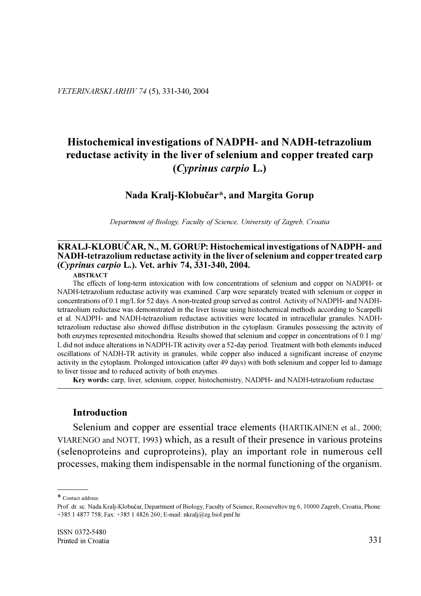# Histochemical investigations of NADPH- and NADH-tetrazolium reductase activity in the liver of selenium and copper treated carp  $(Cvprinus carpio L.)$

## Nada Kralj-Klobučar\*, and Margita Gorup

Department of Biology, Faculty of Science, University of Zagreb, Croatia

## KRALJ-KLOBUČAR, N., M. GORUP: Histochemical investigations of NADPH- and NADH-tetrazolium reductase activity in the liver of selenium and copper treated carp (Cyprinus carpio L.). Vet. arhiv 74, 331-340, 2004.

#### **ABSTRACT**

The effects of long-term intoxication with low concentrations of selenium and copper on NADPH- or NADH-tetrazolium reductase activity was examined. Carp were separately treated with selenium or copper in concentrations of 0.1 mg/L for 52 days. A non-treated group served as control. Activity of NADPH- and NADHtetrazolium reductase was demonstrated in the liver tissue using histochemical methods according to Scarpelli et al. NADPH- and NADH-tetrazolium reductase activities were located in intracellular granules. NADHtetrazolium reductase also showed diffuse distribution in the cytoplasm. Granules possessing the activity of both enzymes represented mitochondria. Results showed that selenium and copper in concentrations of 0.1 mg/ L did not induce alterations in NADPH-TR activity over a 52-day period. Treatment with both elements induced oscillations of NADH-TR activity in granules, while copper also induced a significant increase of enzyme activity in the cytoplasm. Prolonged intoxication (after 49 days) with both selenium and copper led to damage to liver tissue and to reduced activity of both enzymes.

Key words: carp, liver, selenium, copper, histochemistry, NADPH- and NADH-tetrazolium reductase

## **Introduction**

Selenium and copper are essential trace elements (HARTIKAINEN et al., 2000; VIARENGO and NOTT, 1993) which, as a result of their presence in various proteins (selenoproteins and cuproproteins), play an important role in numerous cell processes, making them indispensable in the normal functioning of the organism.

<sup>\*</sup> Contact address:

Prof. dr. sc. Nada Kralj-Klobučar, Department of Biology, Faculty of Science, Rooseveltov trg 6, 10000 Zagreb, Croatia, Phone: +385 1 4877 758; Fax: +385 1 4826 260; E-mail: nkralj@zg.biol.pmf.hr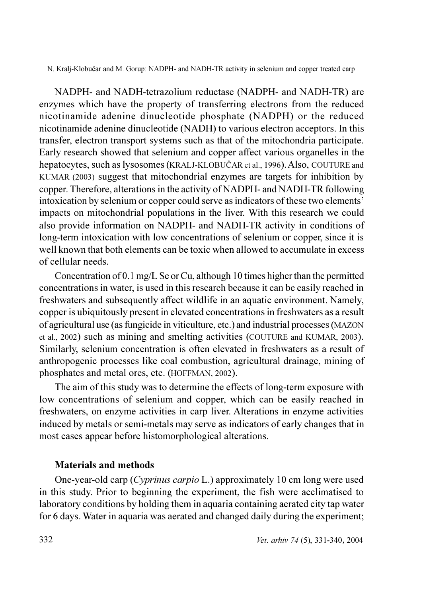NADPH- and NADH-tetrazolium reductase (NADPH- and NADH-TR) are enzymes which have the property of transferring electrons from the reduced nicotinamide adenine dinucleotide phosphate (NADPH) or the reduced nicotinamide adenine dinucleotide (NADH) to various electron acceptors. In this transfer, electron transport systems such as that of the mitochondria participate. Early research showed that selenium and copper affect various organelles in the hepatocytes, such as lysosomes (KRALJ-KLOBUČAR et al., 1996). Also, COUTURE and KUMAR (2003) suggest that mitochondrial enzymes are targets for inhibition by copper. Therefore, alterations in the activity of NADPH- and NADH-TR following intoxication by selenium or copper could serve as indicators of these two elements' impacts on mitochondrial populations in the liver. With this research we could also provide information on NADPH- and NADH-TR activity in conditions of long-term intoxication with low concentrations of selenium or copper, since it is well known that both elements can be toxic when allowed to accumulate in excess of cellular needs

Concentration of 0.1 mg/L Se or Cu, although 10 times higher than the permitted concentrations in water, is used in this research because it can be easily reached in freshwaters and subsequently affect wildlife in an aquatic environment. Namely, copper is ubiquitously present in elevated concentrations in freshwaters as a result of agricultural use (as fungicide in viticulture, etc.) and industrial processes (MAZON et al., 2002) such as mining and smelting activities (COUTURE and KUMAR, 2003). Similarly, selenium concentration is often elevated in freshwaters as a result of anthropogenic processes like coal combustion, agricultural drainage, mining of phosphates and metal ores, etc. (HOFFMAN, 2002).

The aim of this study was to determine the effects of long-term exposure with low concentrations of selenium and copper, which can be easily reached in freshwaters, on enzyme activities in carp liver. Alterations in enzyme activities induced by metals or semi-metals may serve as indicators of early changes that in most cases appear before histomorphological alterations.

## **Materials and methods**

One-year-old carp (Cyprinus carpio L.) approximately 10 cm long were used in this study. Prior to beginning the experiment, the fish were acclimatised to laboratory conditions by holding them in aquaria containing aerated city tap water for 6 days. Water in aquaria was aerated and changed daily during the experiment;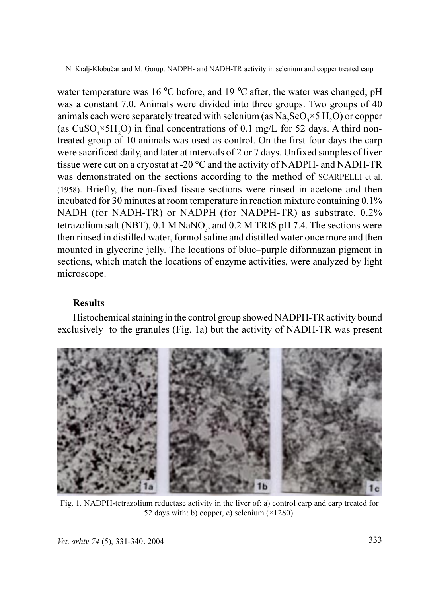water temperature was 16 °C before, and 19 °C after, the water was changed; pH was a constant 7.0. Animals were divided into three groups. Two groups of 40 animals each were separately treated with selenium (as  $Na, SeO, \times 5H, O$ ) or copper (as  $CuSO_{4} \times 5H_{2}O$ ) in final concentrations of 0.1 mg/L for 52 days. A third nontreated group of 10 animals was used as control. On the first four days the carp were sacrificed daily, and later at intervals of 2 or 7 days. Unfixed samples of liver tissue were cut on a cryostat at -20  $^{\circ}$ C and the activity of NADPH- and NADH-TR was demonstrated on the sections according to the method of SCARPELLI et al. (1958). Briefly, the non-fixed tissue sections were rinsed in acetone and then incubated for 30 minutes at room temperature in reaction mixture containing 0.1% NADH (for NADH-TR) or NADPH (for NADPH-TR) as substrate, 0.2% tetrazolium salt (NBT), 0.1 M NaNO<sub>2</sub>, and 0.2 M TRIS pH 7.4. The sections were then rinsed in distilled water, formol saline and distilled water once more and then mounted in glycerine jelly. The locations of blue–purple diformazan pigment in sections, which match the locations of enzyme activities, were analyzed by light microscope.

## **Results**

Histochemical staining in the control group showed NADPH-TR activity bound exclusively to the granules (Fig. 1a) but the activity of NADH-TR was present



Fig. 1. NADPH-tetrazolium reductase activity in the liver of: a) control carp and carp treated for 52 days with: b) copper, c) selenium  $(\times 1280)$ .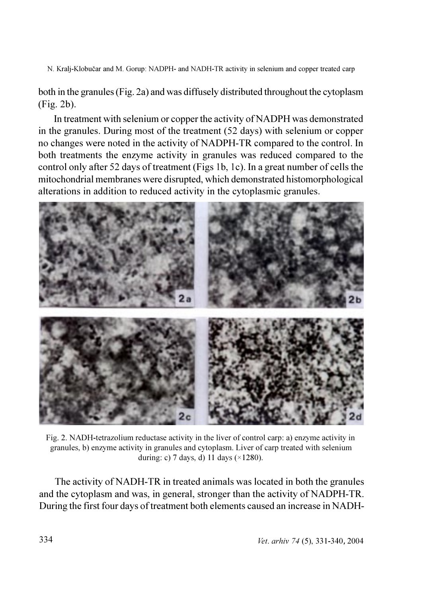both in the granules (Fig. 2a) and was diffusely distributed throughout the cytoplasm  $(Fig. 2b)$ .

In treatment with selenium or copper the activity of NADPH was demonstrated in the granules. During most of the treatment (52 days) with selenium or copper no changes were noted in the activity of NADPH-TR compared to the control. In both treatments the enzyme activity in granules was reduced compared to the control only after 52 days of treatment (Figs 1b, 1c). In a great number of cells the mitochondrial membranes were disrupted, which demonstrated histomorphological alterations in addition to reduced activity in the cytoplasmic granules.



Fig. 2. NADH-tetrazolium reductase activity in the liver of control carp: a) enzyme activity in granules, b) enzyme activity in granules and cytoplasm. Liver of carp treated with selenium during: c) 7 days, d) 11 days  $(\times 1280)$ .

The activity of NADH-TR in treated animals was located in both the granules and the cytoplasm and was, in general, stronger than the activity of NADPH-TR. During the first four days of treatment both elements caused an increase in NADH-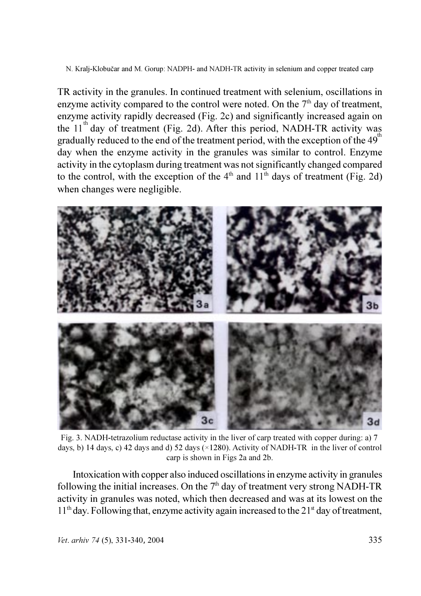TR activity in the granules. In continued treatment with selenium, oscillations in enzyme activity compared to the control were noted. On the 7<sup>th</sup> day of treatment, enzyme activity rapidly decreased (Fig. 2c) and significantly increased again on the  $11^{th}$  day of treatment (Fig. 2d). After this period, NADH-TR activity was gradually reduced to the end of the treatment period, with the exception of the 49<sup>th</sup> day when the enzyme activity in the granules was similar to control. Enzyme activity in the cytoplasm during treatment was not significantly changed compared to the control, with the exception of the  $4<sup>th</sup>$  and  $11<sup>th</sup>$  days of treatment (Fig. 2d) when changes were negligible.



Fig. 3. NADH-tetrazolium reductase activity in the liver of carp treated with copper during: a) 7 days, b) 14 days, c) 42 days and d) 52 days ( $\times$ 1280). Activity of NADH-TR in the liver of control carp is shown in Figs 2a and 2b.

Intoxication with copper also induced oscillations in enzyme activity in granules following the initial increases. On the  $7<sup>th</sup>$  day of treatment very strong NADH-TR activity in granules was noted, which then decreased and was at its lowest on the  $11<sup>th</sup>$  day. Following that, enzyme activity again increased to the  $21<sup>st</sup>$  day of treatment,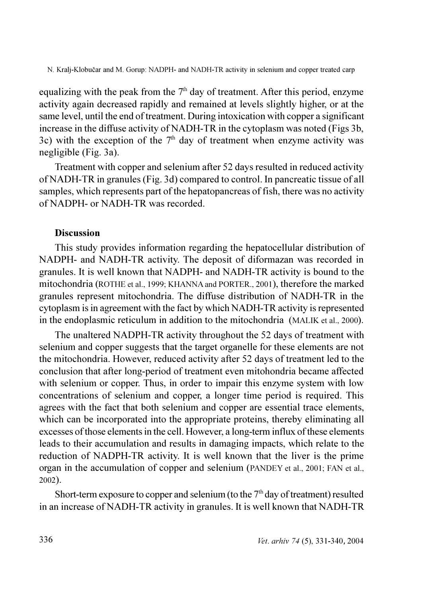equalizing with the peak from the  $7<sup>th</sup>$  day of treatment. After this period, enzyme activity again decreased rapidly and remained at levels slightly higher, or at the same level, until the end of treatment. During intoxication with copper a significant increase in the diffuse activity of NADH-TR in the cytoplasm was noted (Figs 3b, 3c) with the exception of the  $7<sup>th</sup>$  day of treatment when enzyme activity was negligible (Fig. 3a).

Treatment with copper and selenium after 52 days resulted in reduced activity of NADH-TR in granules (Fig. 3d) compared to control. In pancreatic tissue of all samples, which represents part of the hepatopancreas of fish, there was no activity of NADPH- or NADH-TR was recorded

## **Discussion**

This study provides information regarding the hepatocellular distribution of NADPH- and NADH-TR activity. The deposit of diformazan was recorded in granules. It is well known that NADPH- and NADH-TR activity is bound to the mitochondria (ROTHE et al., 1999; KHANNA and PORTER., 2001), therefore the marked granules represent mitochondria. The diffuse distribution of NADH-TR in the cytoplasm is in agreement with the fact by which NADH-TR activity is represented in the endoplasmic reticulum in addition to the mitochondria (MALIK et al., 2000).

The unaltered NADPH-TR activity throughout the 52 days of treatment with selenium and copper suggests that the target organelle for these elements are not the mitochondria. However, reduced activity after 52 days of treatment led to the conclusion that after long-period of treatment even mitohondria became affected with selenium or copper. Thus, in order to impair this enzyme system with low concentrations of selenium and copper, a longer time period is required. This agrees with the fact that both selenium and copper are essential trace elements, which can be incorporated into the appropriate proteins, thereby eliminating all excesses of those elements in the cell. However, a long-term influx of these elements leads to their accumulation and results in damaging impacts, which relate to the reduction of NADPH-TR activity. It is well known that the liver is the prime organ in the accumulation of copper and selenium (PANDEY et al., 2001; FAN et al.,  $2002$ ).

Short-term exposure to copper and selenium (to the  $7<sup>th</sup>$  day of treatment) resulted in an increase of NADH-TR activity in granules. It is well known that NADH-TR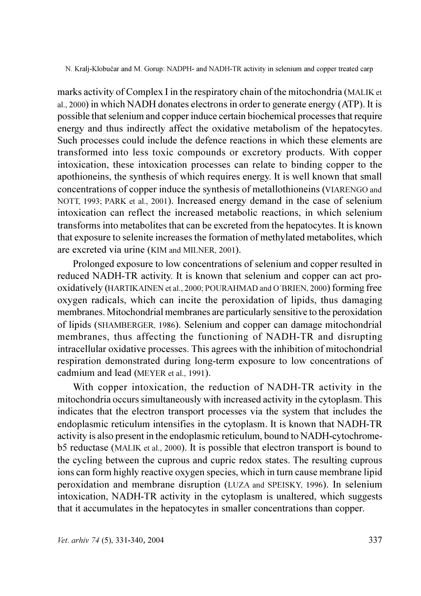marks activity of Complex I in the respiratory chain of the mitochondria (MALIK et al., 2000) in which NADH donates electrons in order to generate energy (ATP). It is possible that selenium and copper induce certain biochemical processes that require energy and thus indirectly affect the oxidative metabolism of the hepatocytes. Such processes could include the defence reactions in which these elements are transformed into less toxic compounds or excretory products. With copper intoxication, these intoxication processes can relate to binding copper to the apothioneins, the synthesis of which requires energy. It is well known that small concentrations of copper induce the synthesis of metallothioneins (VIARENGO and NOTT, 1993; PARK et al., 2001). Increased energy demand in the case of selenium intoxication can reflect the increased metabolic reactions, in which selenium transforms into metabolites that can be excreted from the hepatocytes. It is known that exposure to selenite increases the formation of methylated metabolites, which are excreted via urine (KIM and MILNER, 2001).

Prolonged exposure to low concentrations of selenium and copper resulted in reduced NADH-TR activity. It is known that selenium and copper can act prooxidatively (HARTIKAINEN et al., 2000; POURAHMAD and O'BRIEN, 2000) forming free oxygen radicals, which can incite the peroxidation of lipids, thus damaging membranes. Mitochondrial membranes are particularly sensitive to the peroxidation of lipids (SHAMBERGER, 1986). Selenium and copper can damage mitochondrial membranes, thus affecting the functioning of NADH-TR and disrupting intracellular oxidative processes. This agrees with the inhibition of mitochondrial respiration demonstrated during long-term exposure to low concentrations of cadmium and lead (MEYER et al., 1991).

With copper intoxication, the reduction of NADH-TR activity in the mitochondria occurs simultaneously with increased activity in the cytoplasm. This indicates that the electron transport processes via the system that includes the endoplasmic reticulum intensifies in the cytoplasm. It is known that NADH-TR activity is also present in the endoplasmic reticulum, bound to NADH-cytochromeb5 reductase (MALIK et al., 2000). It is possible that electron transport is bound to the cycling between the cuprous and cupric redox states. The resulting cuprous ions can form highly reactive oxygen species, which in turn cause membrane lipid peroxidation and membrane disruption (LUZA and SPEISKY, 1996). In selenium intoxication, NADH-TR activity in the cytoplasm is unaltered, which suggests that it accumulates in the hepatocytes in smaller concentrations than copper.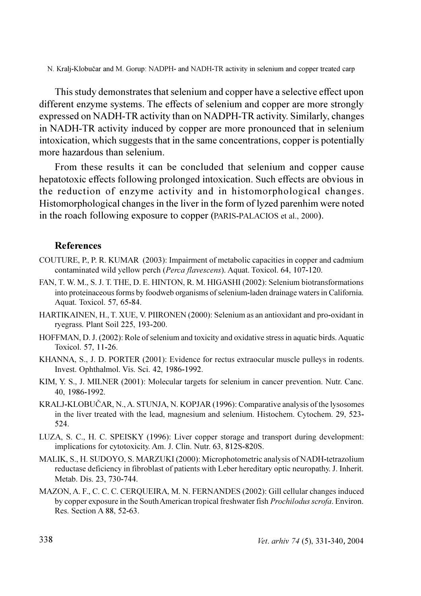This study demonstrates that selenium and copper have a selective effect upon different enzyme systems. The effects of selenium and copper are more strongly expressed on NADH-TR activity than on NADPH-TR activity. Similarly, changes in NADH-TR activity induced by copper are more pronounced that in selenium intoxication, which suggests that in the same concentrations, copper is potentially more hazardous than selenium.

From these results it can be concluded that selenium and copper cause hepatotoxic effects following prolonged intoxication. Such effects are obvious in the reduction of enzyme activity and in histomorphological changes. Histomorphological changes in the liver in the form of lyzed parenhim were noted in the roach following exposure to copper (PARIS-PALACIOS et al., 2000).

## **References**

- COUTURE, P., P. R. KUMAR (2003): Impairment of metabolic capacities in copper and cadmium contaminated wild yellow perch (Perca flavescens). Aquat. Toxicol. 64, 107-120.
- FAN, T. W. M., S. J. T. THE, D. E. HINTON, R. M. HIGASHI (2002): Selenium biotransformations into proteinaceous forms by foodweb organisms of selenium-laden drainage waters in California. Aquat. Toxicol. 57, 65-84.
- HARTIKAINEN, H., T. XUE, V. PIIRONEN (2000): Selenium as an antioxidant and pro-oxidant in ryegrass. Plant Soil 225, 193-200.
- HOFFMAN, D. J. (2002): Role of selenium and toxicity and oxidative stress in aquatic birds. Aquatic Toxicol, 57, 11-26.
- KHANNA, S., J. D. PORTER (2001): Evidence for rectus extraocular muscle pulleys in rodents. Invest. Ophthalmol. Vis. Sci. 42, 1986-1992.
- KIM, Y. S., J. MILNER (2001): Molecular targets for selenium in cancer prevention. Nutr. Canc. 40. 1986-1992.
- KRALJ-KLOBUČAR, N., A. STUNJA, N. KOPJAR (1996): Comparative analysis of the lysosomes in the liver treated with the lead, magnesium and selenium. Histochem. Cytochem. 29, 523-524
- LUZA, S. C., H. C. SPEISKY (1996): Liver copper storage and transport during development: implications for cytotoxicity. Am. J. Clin. Nutr. 63, 812S-820S.
- MALIK, S., H. SUDOYO, S. MARZUKI (2000): Microphotometric analysis of NADH-tetrazolium reductase deficiency in fibroblast of patients with Leber hereditary optic neuropathy. J. Inherit. Metab. Dis. 23, 730-744.
- MAZON, A. F., C. C. C. C. CERQUEIRA, M. N. FERNANDES (2002): Gill cellular changes induced by copper exposure in the South American tropical freshwater fish *Prochilodus scrofa*. Environ. Res. Section A 88, 52-63.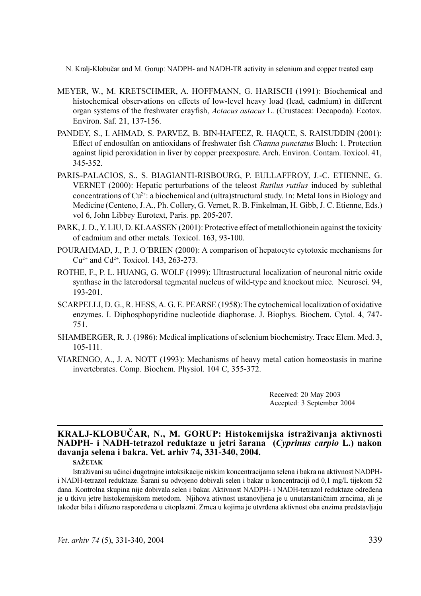- MEYER, W., M. KRETSCHMER, A. HOFFMANN, G. HARISCH (1991): Biochemical and histochemical observations on effects of low-level heavy load (lead, cadmium) in different organ systems of the freshwater crayfish, Actacus astacus L. (Crustacea: Decapoda). Ecotox. Environ. Saf. 21, 137-156.
- PANDEY, S., I. AHMAD, S. PARVEZ, B. BIN-HAFEEZ, R. HAQUE, S. RAISUDDIN (2001): Effect of endosulfan on antioxidans of freshwater fish Channa punctatus Bloch: 1. Protection against lipid peroxidation in liver by copper preexposure. Arch. Environ. Contam. Toxicol. 41,  $345 - 352$
- PARIS-PALACIOS, S., S. BIAGIANTI-RISBOURG, P. EULLAFFROY, J.-C. ETIENNE, G. VERNET (2000): Hepatic perturbations of the teleost Rutilus rutilus induced by sublethal concentrations of  $Cu^{2+}$ : a biochemical and (ultra)structural study. In: Metal Ions in Biology and Medicine (Centeno, J.A., Ph. Collery, G. Vernet, R. B. Finkelman, H. Gibb, J. C. Etienne, Eds.) vol 6, John Libbey Eurotext, Paris. pp. 205-207.
- PARK, J. D., Y. LIU, D. KLAASSEN (2001): Protective effect of metallothionein against the toxicity of cadmium and other metals. Toxicol. 163, 93-100.
- POURAHMAD, J., P. J. O'BRIEN (2000): A comparison of hepatocyte cytotoxic mechanisms for  $Cu^{2+}$  and  $Cd^{2+}$ . Toxicol. 143, 263-273.
- ROTHE, F., P. L. HUANG, G. WOLF (1999): Ultrastructural localization of neuronal nitric oxide synthase in the laterodorsal tegmental nucleus of wild-type and knockout mice. Neurosci. 94,  $193 - 201$ .
- SCARPELLI, D. G., R. HESS, A. G. E. PEARSE (1958): The cytochemical localization of oxidative enzymes. I. Diphosphopyridine nucleotide diaphorase. J. Biophys. Biochem. Cytol. 4, 747-751.
- SHAMBERGER, R. J. (1986): Medical implications of selenium biochemistry. Trace Elem. Med. 3,  $105 - 111$ .
- VIARENGO, A., J. A. NOTT (1993): Mechanisms of heavy metal cation homeostasis in marine invertebrates. Comp. Biochem. Physiol. 104 C, 355-372.

Received: 20 May 2003 Accepted: 3 September 2004

## KRALJ-KLOBUČAR, N., M. GORUP: Histokemijska istraživanja aktivnosti NADPH- i NADH-tetrazol reduktaze u jetri šarana (Cyprinus carpio L.) nakon davanja selena i bakra. Vet. arhiv 74, 331-340, 2004.

### **SAŽETAK**

Istraživani su učinci dugotrajne intoksikacije niskim koncentracijama selena i bakra na aktivnost NADPHi NADH-tetrazol reduktaze. Šarani su odvojeno dobivali selen i bakar u koncentraciji od 0,1 mg/L tijekom 52 dana. Kontrolna skupina nije dobivala selen i bakar. Aktivnost NADPH- i NADH-tetrazol reduktaze određena je u tkivu jetre histokemijskom metodom. Njihova ativnost ustanovljena je u unutarstaničnim zrncima, ali je također bila i difuzno raspoređena u citoplazmi. Zrnca u kojima je utvrđena aktivnost oba enzima predstavljaju